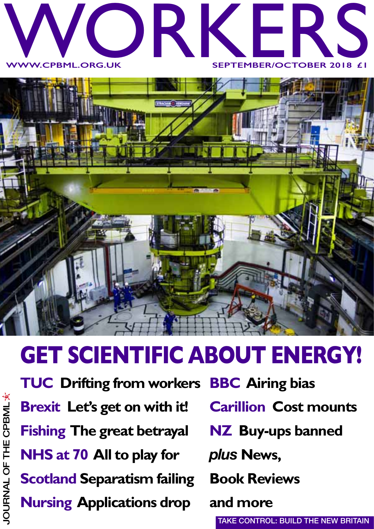



## **GET SCIENTIFIC ABOUT ENERGY!**

**TUC Drifting from workers Brexit Let's get on with it! Fishing The great betrayal NHS at 70 All to play for Scotland Separatism failing Nursing Applications drop**

**BBC Airing bias**

- **Carillion Cost mounts**
- **NZ Buy-ups banned**

*plus* **News,** 

**Book Reviews**

**and more** 

**TAKE CONTROL: BUILD THE NEW BRITAIN**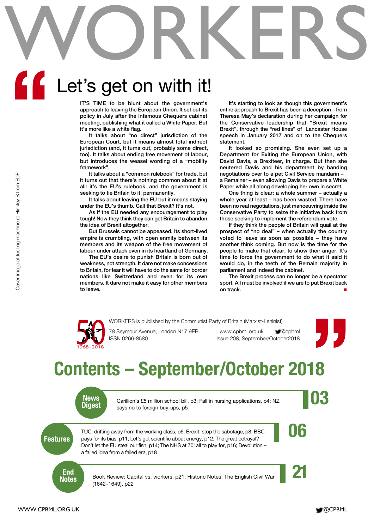# WORKERS Let's get on with it! **"**

**IT'S TIME to be blunt about the government's approach to leaving the European Union. It set out its policy in July after the infamous Chequers cabinet meeting, publishing what it called a White Paper. But it's more like a white flag.**

**It talks about "no direct" jurisdiction of the European Court, but it means almost total indirect jurisdiction (and, it turns out, probably some direct, too). It talks about ending free movement of labour, but introduces the weasel wording of a "mobility framework".** 

**It talks about a "common rulebook" for trade, but it turns out that there's nothing common about it at all: it's the EU's rulebook, and the government is seeking to tie Britain to it, permanently.**

**It talks about leaving the EU but it means staying under the EU's thumb. Call that Brexit? It's not.**

**As if the EU needed any encouragement to play tough! Now they think they can get Britain to abandon the idea of Brexit altogether.**

**But Brussels cannot be appeased. Its short-lived empire is crumbling, with open enmity between its members and its weapon of the free movement of labour under attack even in its heartland of Germany.** 

**The EU's desire to punish Britain is born out of weakness, not strength. It dare not make concessions to Britain, for fear it will have to do the same for border nations like Switzerland and even for its own members. It dare not make it easy for other members to leave.**

**It's starting to look as though this government's entire approach to Brexit has been a deception – from Theresa May's declaration during her campaign for the Conservative leadership that "Brexit means Brexit", through the "red lines" of Lancaster House speech in January 2017 and on to the Chequers statement.** 

**It looked so promising. She even set up a Department for Exiting the European Union, with David Davis, a Brexiteer, in charge. But then she neutered Davis and his department by handing negotiations over to a pet Civil Service mandarin – \_ a Remainer – even allowing Davis to prepare a White Paper while all along developing her own in secret.** 

**One thing is clear: a whole summer – actually a whole year at least – has been wasted. There have been no real negotiations, just manoeuvring inside the Conservative Party to seize the initiative back from those seeking to implement the referendum vote.**

**If they think the people of Britain will quail at the prospect of "no deal" – when actually the country voted to leave as soon as possible – they have another think coming. But now is the time for the people to make that clear, to show their anger. It's time to force the government to do what it said it would do, in the teeth of the Remain majority in parliament and indeed the cabinet.** We consider the computer of the solution of the solution of the solution of the solution of fuelling mathematic mathematic mathematic mathematic mathematic mathematic mathematic mathematic mathematic mathematic mathematic

**The Brexit process can no longer be a spectator sport. All must be involved if we are to put Brexit back on track. ■**

![](_page_1_Picture_13.jpeg)

WORKERS is published by the Communist Party of Britain (Marxist-Leninist)<br>78 Seymour Avenue, London N17 9EB. www.cpbml.org.uk @cpbml<br>Issue 208, September/October2018

![](_page_1_Picture_17.jpeg)

## **Contents – September/October 2018**

![](_page_1_Picture_19.jpeg)

News<br>Digest carillion's £5 million school bill, p3; Fall in nursing applications, p4; NZ<br>Digest says no to foreign buy-ups, p5 Carillion's £5 million school bill, p3; Fall in nursing applications, p4; NZ says no to foreign buy-ups, p5

TUC: drifting away from the working class, p6; Brexit: stop the sabotage, p8; BBC<br>pays for its bias, p11; Let's get scientific about energy, p12; The great betrayal? TUC: drifting away from the working class, p6; Brexit: stop the sabotage, p8; BBC pays for its bias, p11; Let's get scientific about energy, p12; The great betrayal? Don't let the EU steal our fish, p14; The NHS at 70: all to play for, p16; Devolution – a failed idea from a failed era, p18

**End** 

Book Review: Capital vs. workers, p21; Historic Notes: The English Civil War (1642–1649), p22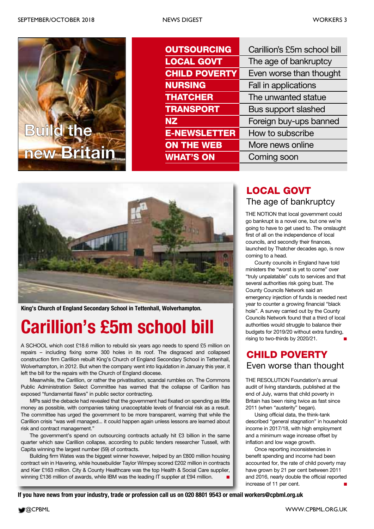![](_page_2_Picture_3.jpeg)

| <b>OUTSOURCING</b>   | Carillion's £5m school bill |
|----------------------|-----------------------------|
| <b>LOCAL GOVT</b>    | The age of bankruptcy       |
| <b>CHILD POVERTY</b> | Even worse than thought     |
| <b>NURSING</b>       | Fall in applications        |
| <b>THATCHER</b>      | The unwanted statue         |
| <b>TRANSPORT</b>     | <b>Bus support slashed</b>  |
| <b>NZ</b>            | Foreign buy-ups banned      |
| <b>E-NEWSLETTER</b>  | How to subscribe            |
| <b>ON THE WEB</b>    | More news online            |
| <b>WHAT'S ON</b>     | Coming soon                 |

![](_page_2_Picture_5.jpeg)

**King's Church of England Secondary School in Tettenhall, Wolverhampton.**

## **Carillion's £5m school bill**

A SCHOOL which cost £18.6 million to rebuild six years ago needs to spend £5 million on repairs – including fixing some 300 holes in its roof. The disgraced and collapsed construction firm Carillion rebuilt King's Church of England Secondary School in Tettenhall, Wolverhampton, in 2012. But when the company went into liquidation in January this year, it left the bill for the repairs with the Church of England diocese.

Meanwhile, the Carillion, or rather the privatisation, scandal rumbles on. The Commons Public Administration Select Committee has warned that the collapse of Carillion has exposed "fundamental flaws" in public sector contracting.

MPs said the debacle had revealed that the government had fixated on spending as little money as possible, with companies taking unacceptable levels of financial risk as a result. The committee has urged the government to be more transparent, warning that while the Carillion crisis "was well managed... it could happen again unless lessons are learned about risk and contract management."

The government's spend on outsourcing contracts actually hit £3 billion in the same quarter which saw Carillion collapse, according to public tenders researcher Tussell, with Capita winning the largest number (59) of contracts.

Building firm Wates was the biggest winner however, helped by an £800 million housing contract win in Havering, while housebuilder Taylor Wimpey scored £202 million in contracts and Kier £163 million. City & County Healthcare was the top Health & Social Care supplier, winning £136 million of awards, while IBM was the leading IT supplier at £94 million.

### The age of bankruptcy **LOCAL GOVT**

THE NOTION that local government could go bankrupt is a novel one, but one we're going to have to get used to. The onslaught first of all on the independence of local councils, and secondly their finances, launched by Thatcher decades ago, is now coming to a head.

County councils in England have told ministers the "worst is yet to come" over "truly unpalatable" cuts to services and that several authorities risk going bust. The County Councils Network said an emergency injection of funds is needed next year to counter a growing financial "black hole". A survey carried out by the County Councils Network found that a third of local authorities would struggle to balance their budgets for 2019/20 without extra funding, rising to two-thirds by 2020/21. **■**

### Even worse than thought **CHILD POVERTY**

THE RESOLUTION Foundation's annual audit of living standards, published at the end of July, warns that child poverty in Britain has been rising twice as fast since 2011 (when "austerity" began).

Using official data, the think-tank described "general stagnation" in household income in 2017/18, with high employment and a minimum wage increase offset by inflation and low wage growth.

Once reporting inconsistencies in benefit spending and income had been accounted for, the rate of child poverty may have grown by 21 per cent between 2011 and 2016, nearly double the official reported increase of 11 per cent. **■**

**If you have news from your industry, trade or profession call us on 020 8801 9543 or email workers@cpbml.org.uk**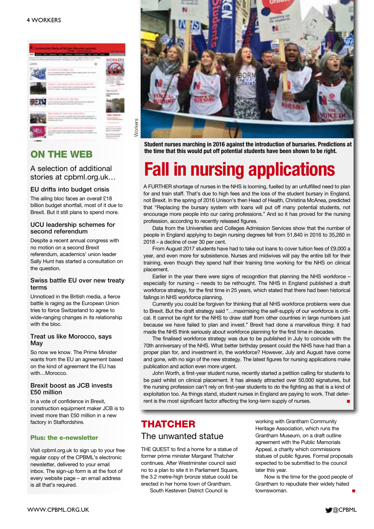![](_page_3_Picture_1.jpeg)

#### **ON THE WEB**

A selection of additional stories at cpbml.org.uk…

#### **EU drifts into budget crisis**

The ailing bloc faces an overall £18 billion budget shortfall, most of it due to Brexit. But it still plans to spend more.

#### **UCU leadership schemes for second referendum**

Despite a recent annual congress with no motion on a second Brexit referendum, academics' union leader Sally Hunt has started a consultation on the question.

#### **Swiss battle EU over new treaty terms**

Unnoticed in the British media, a fierce battle is raging as the European Union tries to force Switzerland to agree to wide-ranging changes in its relationship with the bloc.

#### **Treat us like Morocco, says May**

So now we know. The Prime Minister wants from the EU an agreement based on the kind of agreement the EU has with…Morocco.

#### **Brexit boost as JCB invests £50 million**

In a vote of confidence in Brexit, construction equipment maker JCB is to invest more than £50 million in a new factory in Staffordshire.

#### **Plus: the e-newsletter**

Visit cpbml.org.uk to sign up to your free regular copy of the CPBML's electronic newsletter, delivered to your email inbox. The sign-up form is at the foot of every website page – an email address is all that's required.

![](_page_3_Picture_16.jpeg)

**Student nurses marching in 2016 against the introduction of bursaries. Predictions at the time that this would put off potential students have been shown to be right.**

## **Fall in nursing applications**

A FURTHER shortage of nurses in the NHS is looming, fuelled by an unfulfilled need to plan for and train staff. That's due to high fees and the loss of the student bursary in England, not Brexit. In the spring of 2016 Unison's then Head of Health, Christina McAnea, predicted that "Replacing the bursary system with loans will put off many potential students, not encourage more people into our caring professions." And so it has proved for the nursing profession, according to recently released figures.

Data from the Universities and Colleges Admission Services show that the number of people in England applying to begin nursing degrees fell from 51,840 in 2016 to 35,260 in 2018 – a decline of over 30 per cent.

From August 2017 students have had to take out loans to cover tuition fees of £9,000 a year, and even more for subsistence. Nurses and midwives will pay the entire bill for their training, even though they spend half their training time working for the NHS on clinical placement.

Earlier in the year there were signs of recognition that planning the NHS workforce – especially for nursing – needs to be rethought. The NHS in England published a draft workforce strategy, for the first time in 25 years, which stated that there had been historical failings in NHS workforce planning.

Currently you could be forgiven for thinking that all NHS workforce problems were due to Brexit. But the draft strategy said "…maximising the self-supply of our workforce is critical. It cannot be right for the NHS to draw staff from other countries in large numbers just because we have failed to plan and invest." Brexit had done a marvellous thing: it had made the NHS think seriously about workforce planning for the first time in decades.

The finalised workforce strategy was due to be published in July to coincide with the 70th anniversary of the NHS. What better birthday present could the NHS have had than a proper plan for, and investment in, the workforce? However, July and August have come and gone, with no sign of the new strategy. The latest figures for nursing applications make publication and action even more urgent.

John Worth, a first-year student nurse, recently started a petition calling for students to be paid whilst on clinical placement. It has already attracted over 50,000 signatures, but the nursing profession can't rely on first-year students to do the fighting as that is a kind of exploitation too. As things stand, student nurses in England are paying to work. That deterrent is the most significant factor affecting the long-term supply of nurses.

### **THATCHER**

#### The unwanted statue

THE QUEST to find a home for a statue of former prime minister Margaret Thatcher continues. After Westminster council said no to a plan to site it in Parliament Square, the 3.2 metre-high bronze statue could be erected in her home town of Grantham. South Kesteven District Council is

working with Grantham Community Heritage Association, which runs the Grantham Museum, on a draft outline agreement with the Public Memorials Appeal, a charity which commissions statues of public figures. Formal proposals expected to be submitted to the council later this year.

Now is the time for the good people of Grantham to repudiate their widely hated townswoman. **■**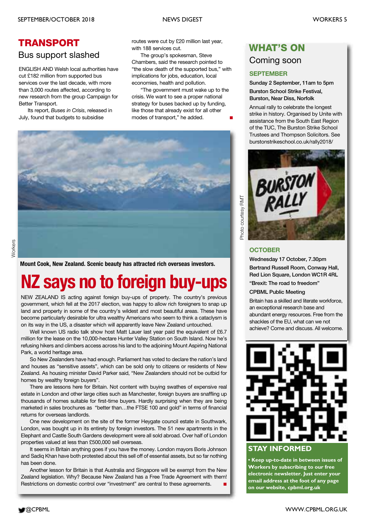### **TRANSPORT**

#### Bus support slashed

ENGLISH AND Welsh local authorities have cut £182 million from supported bus services over the last decade, with more than 3,000 routes affected, according to new research from the group Campaign for Better Transport.

Its report, *Buses in Crisis*, released in July, found that budgets to subsidise

routes were cut by £20 million last year, with 188 services cut.

The group's spokesman, Steve Chambers, said the research pointed to "the slow death of the supported bus," with implications for jobs, education, local economies, health and pollution.

"The government must wake up to the crisis. We want to see a proper national strategy for buses backed up by funding, like those that already exist for all other modes of transport." he added.

![](_page_4_Picture_10.jpeg)

**Mount Cook, New Zealand. Scenic beauty has attracted rich overseas investors.**

## **NZ says no to foreign buy-up**

NEW ZEALAND IS acting against foreign buy-ups of property. The country's previous government, which fell at the 2017 election, was happy to allow rich foreigners to snap up land and property in some of the country's wildest and most beautiful areas. These have become particularly desirable for ultra wealthy Americans who seem to think a cataclysm is on its way in the US, a disaster which will apparently leave New Zealand untouched.

Well known US radio talk show host Matt Lauer last year paid the equivalent of £6.7 million for the lease on the 10,000-hectare Hunter Valley Station on South Island. Now he's refusing hikers and climbers access across his land to the adjoining Mount Aspiring National Park, a world heritage area.

So New Zealanders have had enough. Parliament has voted to declare the nation's land and houses as "sensitive assets", which can be sold only to citizens or residents of New Zealand. As housing minister David Parker said, "New Zealanders should not be outbid for homes by wealthy foreign buyers".

There are lessons here for Britain. Not content with buying swathes of expensive real estate in London and other large cities such as Manchester, foreign buyers are snaffling up thousands of homes suitable for first-time buyers. Hardly surprising when they are being marketed in sales brochures as "better than…the FTSE 100 and gold" in terms of financial returns for overseas landlords.

One new development on the site of the former Heygate council estate in Southwark, London, was bought up in its entirety by foreign investors. The 51 new apartments in the Elephant and Castle South Gardens development were all sold abroad. Over half of London properties valued at less than £500,000 sell overseas.

It seems in Britain anything goes if you have the money. London mayors Boris Johnson and Sadiq Khan have both protested about this sell off of essential assets, but so far nothing has been done.

Another lesson for Britain is that Australia and Singapore will be exempt from the New Zealand legislation. Why? Because New Zealand has a Free Trade Agreement with them! Restrictions on domestic control over "investment" are central to these agreements.

### **WHAT'S ON**

#### Coming soon

#### **SEPTEMBER**

**Sunday 2 September, 11am to 5pm Burston School Strike Festival, Burston, Near Diss, Norfolk**

Annual rally to celebrate the longest strike in history. Organised by Unite with assistance from the South East Region of the TUC, The Burston Strike School Trustees and Thompson Solicitors. See burstonstrikeschool.co.uk/rally2018/

![](_page_4_Picture_26.jpeg)

#### **OCTOBER**

**Wednesday 17 October, 7.30pm Bertrand Russell Room, Conway Hall, Red Lion Square, London WC1R 4RL**

**"Brexit: The road to freedom"**

#### **CPBML Public Meeting**

Britain has a skilled and literate workforce, an exceptional research base and abundant energy resources. Free from the shackles of the EU, what can we not achieve? Come and discuss. All welcome.

![](_page_4_Picture_32.jpeg)

#### **STAY INFORMED**

**• Keep up-to-date in between issues of Workers by subscribing to our free electronic newsletter. Just enter your email address at the foot of any page on our website, cpbml.org.uk**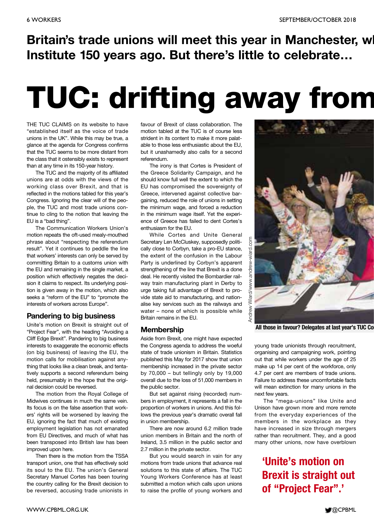### **Britain's trade unions will meet this year in Manchester, wh Institute 150 years ago. But there's little to celebrate…**

## **TUC: drifting away from**

THE TUC CLAIMS on its website to have "established itself as the voice of trade unions in the UK". While this may be true, a glance at the agenda for Congress confirms that the TUC seems to be more distant from the class that it ostensibly exists to represent than at any time in its 150-year history.

The TUC and the majority of its affiliated unions are at odds with the views of the working class over Brexit, and that is reflected in the motions tabled for this year's Congress. Ignoring the clear will of the people, the TUC and most trade unions continue to cling to the notion that leaving the EU is a "bad thing".

The Communication Workers Union's motion repeats the oft-used mealy-mouthed phrase about "respecting the referendum result". Yet it continues to peddle the line that workers' interests can only be served by committing Britain to a customs union with the EU and remaining in the single market, a position which effectively negates the decision it claims to respect. Its underlying position is given away in the motion, which also seeks a "reform of the EU" to "promote the interests of workers across Europe".

#### **Pandering to big business**

Unite's motion on Brexit is straight out of "Project Fear", with the heading "Avoiding a Cliff Edge Brexit". Pandering to big business interests to exaggerate the economic effects (on big business) of leaving the EU, the motion calls for mobilisation against anything that looks like a clean break, and tentatively supports a second referendum being held, presumably in the hope that the original decision could be reversed.

The motion from the Royal College of Midwives continues in much the same vein. Its focus is on the false assertion that workers' rights will be worsened by leaving the EU, ignoring the fact that much of existing employment legislation has not emanated from EU Directives, and much of what has been transposed into British law has been improved upon here.

Then there is the motion from the TSSA transport union, one that has effectively sold its soul to the EU. The union's General Secretary Manuel Cortes has been touring the country calling for the Brexit decision to be reversed, accusing trade unionists in

favour of Brexit of class collaboration. The motion tabled at the TUC is of course less strident in its content to make it more palatable to those less enthusiastic about the EU, but it unashamedly also calls for a second referendum.

The irony is that Cortes is President of the Greece Solidarity Campaign, and he should know full well the extent to which the EU has compromised the sovereignty of Greece, intervened against collective bargaining, reduced the role of unions in setting the minimum wage, and forced a reduction in the minimum wage itself. Yet the experience of Greece has failed to dent Cortes's enthusiasm for the EU.

While Cortes and Unite General Secretary Len McCluskey, supposedly politically close to Corbyn, take a pro-EU stance, the extent of the confusion in the Labour Party is underlined by Corbyn's apparent strengthening of the line that Brexit is a done deal. He recently visited the Bombardier railway train manufacturing plant in Derby to urge taking full advantage of Brexit to provide state aid to manufacturing, and nationalise key services such as the railways and water – none of which is possible while Britain remains in the EU.

#### **Membership**

Aside from Brexit, one might have expected the Congress agenda to address the woeful state of trade unionism in Britain. Statistics published this May for 2017 show that union membership increased in the private sector by 70,000 – but tellingly only by 19,000 overall due to the loss of 51,000 members in the public sector.

But set against rising (recorded) numbers in employment, it represents a fall in the proportion of workers in unions. And this follows the previous year's dramatic overall fall in union membership.

There are now around 6.2 million trade union members in Britain and the north of Ireland, 3.5 million in the public sector and 2.7 million in the private sector.

But you would search in vain for any motions from trade unions that advance real solutions to this state of affairs. The TUC Young Workers Conference has at least submitted a motion which calls upon unions to raise the profile of young workers and

![](_page_5_Picture_19.jpeg)

**All those in favour? Delegates at last year's TUC Con**

young trade unionists through recruitment, organising and campaigning work, pointing out that while workers under the age of 25 make up 14 per cent of the workforce, only 4.7 per cent are members of trade unions. Failure to address these uncomfortable facts will mean extinction for many unions in the next few years.

The "mega-unions" like Unite and Unison have grown more and more remote from the everyday experiences of the members in the workplace as they have increased in size through mergers rather than recruitment. They, and a good many other unions, now have overblown

### **'Unite's motion on Brexit is straight out of "Project Fear".'**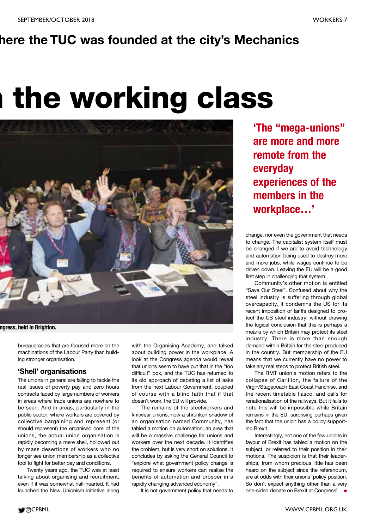### **here the TUC was founded at the city's Mechanics**

## **m the working class**

![](_page_6_Picture_4.jpeg)

#### **ngress, held in Brighton.**

bureaucracies that are focused more on the machinations of the Labour Party than building stronger organisation.

#### **'Shell' organisations**

The unions in general are failing to tackle the real issues of poverty pay and zero hours contracts faced by large numbers of workers in areas where trade unions are nowhere to be seen. And in areas, particularly in the public sector, where workers are covered by collective bargaining and represent (or should represent) the organised core of the unions, the actual union organisation is rapidly becoming a mere shell, hollowed out by mass desertions of workers who no longer see union membership as a collective tool to fight for better pay and conditions.

Twenty years ago, the TUC was at least talking about organising and recruitment, even if it was somewhat half-hearted. It had launched the New Unionism initiative along

with the Organising Academy, and talked about building power in the workplace. A look at the Congress agenda would reveal that unions seem to have put that in the "too difficult" box, and the TUC has returned to its old approach of debating a list of asks from the next Labour Government, coupled of course with a blind faith that if that doesn't work, the EU will provide.

The remains of the steelworkers and knitwear unions, now a shrunken shadow of an organisation named Community, has tabled a motion on automation, an area that will be a massive challenge for unions and workers over the next decade. It identifies the problem, but is very short on solutions. It concludes by asking the General Council to "explore what government policy change is required to ensure workers can realise the benefits of automation and prosper in a rapidly changing advanced economy".

It is not government policy that needs to

**'The "mega-unions" are more and more remote from the everyday experiences of the members in the workplace…'**

change, nor even the government that needs to change. The capitalist system itself must be changed if we are to avoid technology and automation being used to destroy more and more jobs, while wages continue to be driven down. Leaving the EU will be a good first step in challenging that system.

Community's other motion is entitled "Save Our Steel". Confused about why the steel industry is suffering through global overcapacity, it condemns the US for its recent imposition of tariffs designed to protect the US steel industry, without drawing the logical conclusion that this is perhaps a means by which Britain may protect its steel industry. There is more than enough demand within Britain for the steel produced in the country. But membership of the EU means that we currently have no power to take any real steps to protect British steel.

The RMT union's motion refers to the collapse of Carillion, the failure of the Virgin/Stagecoach East Coast franchise, and the recent timetable fiasco, and calls for renationalisation of the railways. But it fails to note this will be impossible while Britain remains in the EU, surprising perhaps given the fact that the union has a policy supporting Brexit.

Interestingly, not one of the few unions in favour of Brexit has tabled a motion on the subject, or referred to their position in their motions. The suspicion is that their leaderships, from whom precious little has been heard on the subject since the referendum, are at odds with their unions' policy position. So don't expect anything other than a very one-sided debate on Brexit at Congress! **■**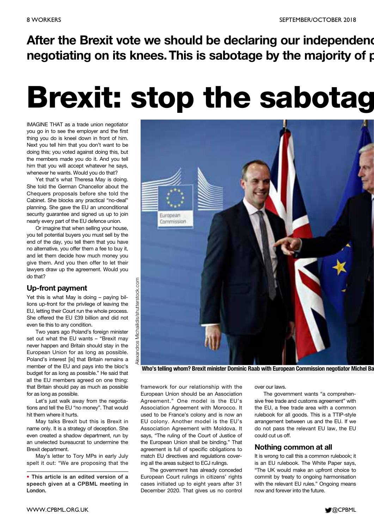**After the Brexit vote we should be declaring our independenc negotiating on its knees. This is sabotage by the majority of p**

## **Brexit: stop the sabotag**

IMAGINE THAT as a trade union negotiator you go in to see the employer and the first thing you do is kneel down in front of him. Next you tell him that you don't want to be doing this; you voted against doing this, but the members made you do it. And you tell him that you will accept whatever he says, whenever he wants. Would you do that?

Yet that's what Theresa May is doing. She told the German Chancellor about the Chequers proposals before she told the Cabinet. She blocks any practical "no-deal" planning. She gave the EU an unconditional security guarantee and signed us up to join nearly every part of the EU defence union.

Or imagine that when selling your house, you tell potential buyers you must sell by the end of the day, you tell them that you have no alternative, you offer them a fee to buy it, and let them decide how much money you give them. And you then offer to let their lawyers draw up the agreement. Would you do that?

#### **Up-front payment**

Yet this is what May is doing – paying billions up-front for the privilege of leaving the EU, letting their Court run the whole process. She offered the EU £39 billion and did not even tie this to any condition.

Two years ago Poland's foreign minister set out what the EU wants – "Brexit may never happen and Britain should stay in the European Union for as long as possible. Poland's interest [is] that Britain remains a member of the EU and pays into the bloc's budget for as long as possible." He said that all the EU members agreed on one thing: that Britain should pay as much as possible for as long as possible.

Let's just walk away from the negotiations and tell the EU "no money". That would hit them where it hurts.

May talks Brexit but this is Brexit in name only. It is a strategy of deception. She even created a shadow department, run by an unelected bureaucrat to undermine the Brexit department.

May's letter to Tory MPs in early July spelt it out: "We are proposing that the

![](_page_7_Picture_14.jpeg)

**Who's telling whom? Brexit minister Dominic Raab with European Commission negotiator Michel Ba**

framework for our relationship with the European Union should be an Association Agreement." One model is the EU's Association Agreement with Morocco. It used to be France's colony and is now an EU colony. Another model is the EU's Association Agreement with Moldova. It says, "The ruling of the Court of Justice of the European Union shall be binding." That agreement is full of specific obligations to match EU directives and regulations covering all the areas subject to ECJ rulings.

The government has already conceded European Court rulings in citizens' rights cases initiated up to eight years after 31 December 2020. That gives us no control

over our laws.

The government wants "a comprehensive free trade and customs agreement" with the EU, a free trade area with a common rulebook for all goods. This is a TTIP-style arrangement between us and the EU. If we do not pass the relevant EU law, the EU could cut us off.

#### **Nothing common at all**

It is wrong to call this a common rulebook; it is an EU rulebook. The White Paper says, "The UK would make an upfront choice to commit by treaty to ongoing harmonisation with the relevant EU rules." Ongoing means now and forever into the future.

![](_page_7_Picture_23.jpeg)

**<sup>•</sup> This article is an edited version of a speech given at a CPBML meeting in London.**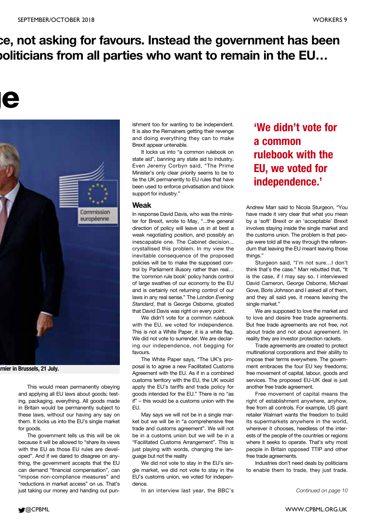### **ce, not asking for favours. Instead the government has been politicians from all parties who want to remain in the EU…**

## **ge**

![](_page_8_Picture_4.jpeg)

**arnier in Brussels, 21 July.**

This would mean permanently obeying and applying all EU laws about goods; testing, packaging, everything. All goods made in Britain would be permanently subject to these laws, without our having any say on them. It locks us into the EU's single market for goods.

The government tells us this will be ok because it will be allowed to "share its views with the EU as those EU rules are developed". And if we dared to disagree on anything, the government accepts that the EU can demand "financial compensation", can "impose non-compliance measures" and "reductions in market access" on us. That's just taking our money and handing out punishment too for wanting to be independent. It is also the Remainers getting their revenge and doing everything they can to make Brexit appear untenable.

It locks us into "a common rulebook on state aid", banning any state aid to industry. Even Jeremy Corbyn said, "The Prime Minister's only clear priority seems to be to tie the UK permanently to EU rules that have been used to enforce privatisation and block support for industry."

#### **Weak**

In response David Davis, who was the minister for Brexit, wrote to May, "...the general direction of policy will leave us in at best a weak negotiating position, and possibly an inescapable one. The Cabinet decision... crystallised this problem. In my view the inevitable consequence of the proposed policies will be to make the supposed control by Parliament illusory rather than real… the 'common rule book' policy hands control of large swathes of our economy to the EU and is certainly not returning control of our laws in any real sense." The London *Evening Standard*, that is George Osborne, gloated that David Davis was right on every point.

We didn't vote for a common rulebook with the EU, we voted for independence. This is not a White Paper, it is a white flag. We did not vote to surrender. We are declaring our independence, not begging for favours.

The White Paper says, "The UK's proposal is to agree a new Facilitated Customs Agreement with the EU. As if in a combined customs territory with the EU, the UK would apply the EU's tariffs and trade policy for goods intended for the EU." There is no "as if" – this would be a customs union with the EU.

May says we will not be in a single market but we will be in "a comprehensive free trade and customs agreement". We will not be in a customs union but we will be in a "Facilitated Customs Arrangement". This is just playing with words, changing the language but not the reality

We did not vote to stay in the EU's single market, we did not vote to stay in the EU's customs union, we voted for independence.

In an interview last year, the BBC's

**'We didn't vote for a common rulebook with the EU, we voted for independence.'**

Andrew Marr said to Nicola Sturgeon, "You have made it very clear that what you mean by a 'soft' Brexit or an 'acceptable' Brexit involves staying inside the single market and the customs union. The problem is that people were told all the way through the referendum that leaving the EU meant leaving those things."

Sturgeon said, "I'm not sure…I don't think that's the case." Marr rebutted that, "It is the case, if I may say so. I interviewed David Cameron, George Osborne, Michael Gove, Boris Johnson and I asked all of them, and they all said yes, it means leaving the single market."

We are supposed to love the market and to love and desire free trade agreements. But free trade agreements are not free, not about trade and not about agreement. In reality they are investor protection rackets.

Trade agreements are created to protect multinational corporations and their ability to impose their terms everywhere. The government embraces the four EU key freedoms; free movement of capital, labour, goods and services. The proposed EU-UK deal is just another free trade agreement.

Free movement of capital means the right of establishment anywhere, anyhow, free from all controls. For example, US giant retailer Walmart wants the freedom to build its supermarkets anywhere in the world, wherever it chooses, heedless of the interests of the people of the countries or regions where it seeks to operate. That's why most people in Britain opposed TTIP and other free trade agreements.

Industries don't need deals by politicians to enable them to trade, they just trade.

![](_page_8_Picture_26.jpeg)

*Continued on page 10*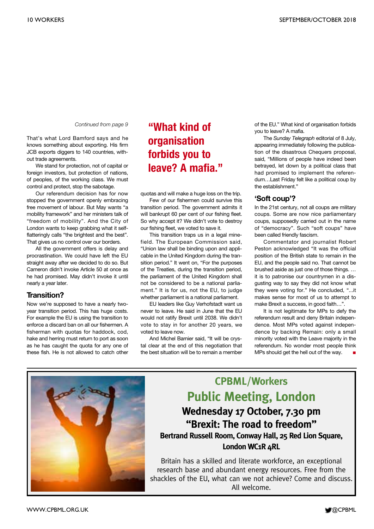That's what Lord Bamford says and he knows something about exporting. His firm JCB exports diggers to 140 countries, without trade agreements.

We stand for protection, not of capital or foreign investors, but protection of nations, of peoples, of the working class. We must control and protect, stop the sabotage.

Our referendum decision has for now stopped the government openly embracing free movement of labour. But May wants "a mobility framework" and her ministers talk of "freedom of mobility". And the City of London wants to keep grabbing what it selfflatteringly calls "the brightest and the best". That gives us no control over our borders.

All the government offers is delay and procrastination. We could have left the EU straight away after we decided to do so. But Cameron didn't invoke Article 50 at once as he had promised. May didn't invoke it until nearly a year later.

#### **Transition?**

Now we're supposed to have a nearly twoyear transition period. This has huge costs. For example the EU is using the transition to enforce a discard ban on all our fishermen. A fisherman with quotas for haddock, cod, hake and herring must return to port as soon as he has caught the quota for any one of these fish. He is not allowed to catch other

### *Continued from page 9* **"What kind of organisation forbids you to leave? A mafia."**

quotas and will make a huge loss on the trip.

Few of our fishermen could survive this transition period. The government admits it will bankrupt 60 per cent of our fishing fleet. So why accept it? We didn't vote to destroy our fishing fleet, we voted to save it.

This transition traps us in a legal minefield. The European Commission said, "Union law shall be binding upon and applicable in the United Kingdom during the transition period." It went on, "For the purposes of the Treaties, during the transition period, the parliament of the United Kingdom shall not be considered to be a national parliament." It is for us, not the EU, to judge whether parliament is a national parliament.

EU leaders like Guy Verhofstadt want us never to leave. He said in June that the EU would not ratify Brexit until 2038. We didn't vote to stay in for another 20 years, we voted to leave now.

And Michel Barnier said, "It will be crystal clear at the end of this negotiation that the best situation will be to remain a member of the EU." What kind of organisation forbids you to leave? A mafia.

The *Sunday Telegraph* editorial of 8 July, appearing immediately following the publication of the disastrous Chequers proposal, said, "Millions of people have indeed been betrayed, let down by a political class that had promised to implement the referendum…Last Friday felt like a political coup by the establishment."

#### **'Soft coup'?**

In the 21st century, not all coups are military coups. Some are now nice parliamentary coups, supposedly carried out in the name of "democracy". Such "soft coups" have been called friendly fascism.

Commentator and journalist Robert Peston acknowledged "It was the official position of the British state to remain in the EU, and the people said no. That cannot be brushed aside as just one of those things. … it is to patronise our countrymen in a disgusting way to say they did not know what they were voting for." He concluded, "...it makes sense for most of us to attempt to make Brexit a success, in good faith…".

It is not legitimate for MPs to defy the referendum result and deny Britain independence. Most MPs voted against independence by backing Remain: only a small minority voted with the Leave majority in the referendum. No wonder most people think MPs should get the hell out of the way.

![](_page_9_Picture_21.jpeg)

### **CPBML/Workers Public Meeting, London Wednesday 17 October, 7.30 pm "Brexit: The road to freedom" Bertrand Russell Room, Conway Hall, 25 Red Lion Square,**

London WC<sub>1</sub>R <sub>4</sub>RL

Britain has a skilled and literate workforce, an exceptional research base and abundant energy resources. Free from the shackles of the EU, what can we not achieve? Come and discuss. All welcome.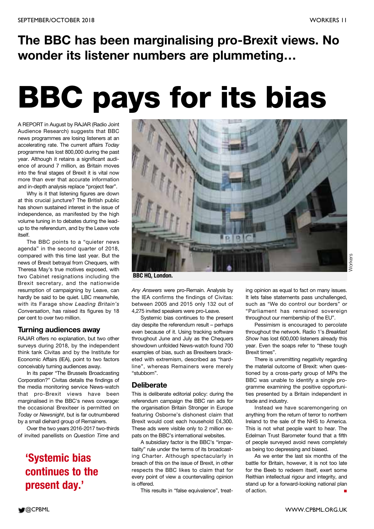## **The BBC has been marginalising pro-Brexit views. No wonder its listener numbers are plummeting…**

## **BBC pays for its bias**

A REPORT in August by RAJAR (Radio Joint Audience Research) suggests that BBC news programmes are losing listeners at an accelerating rate. The current affairs *Today* programme has lost 800,000 during the past year. Although it retains a significant audience of around 7 million, as Britain moves into the final stages of Brexit it is vital now more than ever that accurate information and in-depth analysis replace "project fear".

Why is it that listening figures are down at this crucial juncture? The British public has shown sustained interest in the issue of independence, as manifested by the high volume tuning in to debates during the leadup to the referendum, and by the Leave vote itself.

The BBC points to a "quieter news agenda" in the second quarter of 2018, compared with this time last year. But the news of Brexit betrayal from Chequers, with Theresa May's true motives exposed, with two Cabinet resignations including the Brexit secretary, and the nationwide resumption of campaigning by Leave, can hardly be said to be quiet. LBC meanwhile, with its Farage show *Leading Britain's Conversation*, has raised its figures by 18 per cent to over two million.

#### **Turning audiences away**

RAJAR offers no explanation, but two other surveys during 2018, by the independent think tank Civitas and by the Institute for Economic Affairs (IEA), point to two factors conceivably turning audiences away.

In its paper "The Brussels Broadcasting Corporation?" Civitas details the findings of the media monitoring service News-watch that pro-Brexit views have been marginalised in the BBC's news coverage: the occasional Brexiteer is permitted on *Today* or *Newsnight*, but is far outnumbered by a small diehard group of Remainers.

Over the two years 2016-2017 two-thirds of invited panellists on *Question Time* and

### **'Systemic bias continues to the present day.'**

![](_page_10_Picture_12.jpeg)

**BBC HQ, London.**

*Any Answers* were pro-Remain. Analysis by the IEA confirms the findings of Civitas: between 2005 and 2015 only 132 out of 4,275 invited speakers were pro-Leave.

Systemic bias continues to the present day despite the referendum result – perhaps even because of it. Using tracking software throughout June and July as the Chequers showdown unfolded News-watch found 700 examples of bias, such as Brexiteers bracketed with extremism, described as "hardline", whereas Remainers were merely "stubborn".

#### **Deliberate**

This is deliberate editorial policy: during the referendum campaign the BBC ran ads for the organisation Britain Stronger in Europe featuring Osborne's dishonest claim that Brexit would cost each household £4,300. These ads were visible only to 2 million expats on the BBC's international websites.

A subsidiary factor is the BBC's "impartiality" rule under the terms of its broadcasting Charter. Although spectacularly in breach of this on the issue of Brexit, in other respects the BBC likes to claim that for every point of view a countervailing opinion is offered.

This results in "false equivalence", treat-

ing opinion as equal to fact on many issues. It lets false statements pass unchallenged, such as "We do control our borders" or "Parliament has remained sovereign throughout our membership of the EU".

Pessimism is encouraged to percolate throughout the network. Radio 1's *Breakfast Show* has lost 600,000 listeners already this year. Even the soaps refer to "these tough Brexit times".

There is unremitting negativity regarding the material outcome of Brexit: when questioned by a cross-party group of MPs the BBC was unable to identify a single programme examining the positive opportunities presented by a Britain independent in trade and industry.

Instead we have scaremongering on anything from the return of terror to northern Ireland to the sale of the NHS to America. This is not what people want to hear. The Edelman Trust Barometer found that a fifth of people surveyed avoid news completely as being too depressing and biased.

As we enter the last six months of the battle for Britain, however, it is not too late for the Beeb to redeem itself, exert some Reithian intellectual rigour and integrity, and stand up for a forward-looking national plan of action. **■**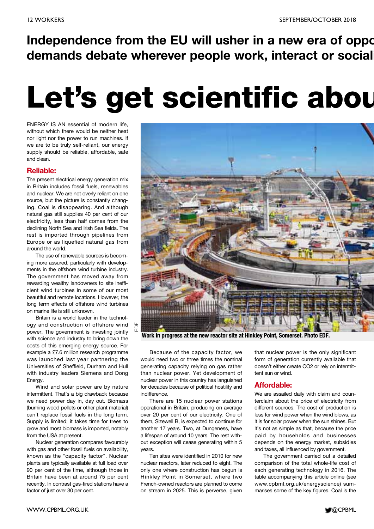**Independence from the EU will usher in a new era of oppo demands debate wherever people work, interact or sociali**

## **Let's get scientific abou**

ENERGY IS AN essential of modern life, without which there would be neither heat nor light nor the power to run machines. If we are to be truly self-reliant, our energy supply should be reliable, affordable, safe and clean.

#### **Reliable:**

The present electrical energy generation mix in Britain includes fossil fuels, renewables and nuclear. We are not overly reliant on one source, but the picture is constantly changing. Coal is disappearing. And although natural gas still supplies 40 per cent of our electricity, less than half comes from the declining North Sea and Irish Sea fields. The rest is imported through pipelines from Europe or as liquefied natural gas from around the world.

The use of renewable sources is becoming more assured, particularly with developments in the offshore wind turbine industry. The government has moved away from rewarding wealthy landowners to site inefficient wind turbines in some of our most beautiful and remote locations. However, the long term effects of offshore wind turbines on marine life is still unknown.

Britain is a world leader in the technology and construction of offshore wind power. The government is investing jointly with science and industry to bring down the costs of this emerging energy source. For example a £7.6 million research programme was launched last year partnering the Universities of Sheffield, Durham and Hull with industry leaders Siemens and Dong Energy.

EDF

Wind and solar power are by nature intermittent. That's a big drawback because we need power day in, day out. Biomass (burning wood pellets or other plant material) can't replace fossil fuels in the long term. Supply is limited; it takes time for trees to grow and most biomass is imported, notably from the USA at present.

Nuclear generation compares favourably with gas and other fossil fuels on availability, known as the "capacity factor". Nuclear plants are typically available at full load over 90 per cent of the time, although those in Britain have been at around 75 per cent recently. In contrast gas-fired stations have a factor of just over 30 per cent.

![](_page_11_Picture_11.jpeg)

**Work in progress at the new reactor site at Hinkley Point, Somerset. Photo EDF.**

Because of the capacity factor, we would need two or three times the nominal generating capacity relying on gas rather than nuclear power. Yet development of nuclear power in this country has languished for decades because of political hostility and indifference.

There are 15 nuclear power stations operational in Britain, producing on average over 20 per cent of our electricity. One of them, Sizewell B, is expected to continue for another 17 years. Two, at Dungeness, have a lifespan of around 10 years. The rest without exception will cease generating within 5 years.

Ten sites were identified in 2010 for new nuclear reactors, later reduced to eight. The only one where construction has begun is Hinkley Point in Somerset, where two French-owned reactors are planned to come on stream in 2025. This is perverse, given

that nuclear power is the only significant form of generation currently available that doesn't either create CO2 or rely on intermittent sun or wind.

#### **Affordable:**

We are assailed daily with claim and counterclaim about the price of electricity from different sources. The cost of production is less for wind power when the wind blows, as it is for solar power when the sun shines. But it's not as simple as that, because the price paid by households and businesses depends on the energy market, subsidies and taxes, all influenced by government.

The government carried out a detailed comparison of the total whole-life cost of each generating technology in 2016. The table accompanying this article online (see www.cpbml.org.uk/energyscience) summarises some of the key figures. Coal is the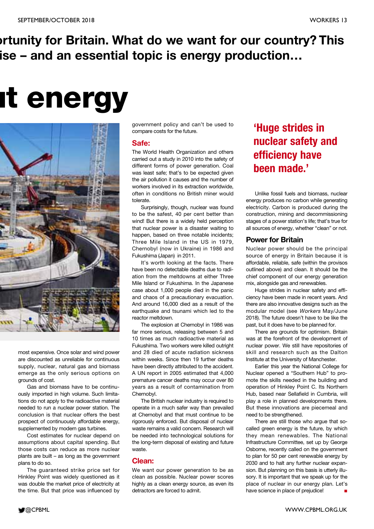## **ortunity for Britain. What do we want for our country? This ise – and an essential topic is energy production…**

## **ut energy**

![](_page_12_Picture_4.jpeg)

most expensive. Once solar and wind power are discounted as unreliable for continuous supply, nuclear, natural gas and biomass emerge as the only serious options on grounds of cost.

Gas and biomass have to be continuously imported in high volume. Such limitations do not apply to the radioactive material needed to run a nuclear power station. The conclusion is that nuclear offers the best prospect of continuously affordable energy, supplemented by modern gas turbines.

Cost estimates for nuclear depend on assumptions about capital spending. But those costs can reduce as more nuclear plants are built – as long as the government plans to do so.

The guaranteed strike price set for Hinkley Point was widely questioned as it was double the market price of electricity at the time. But that price was influenced by government policy and can't be used to compare costs for the future.

#### **Safe:**

The World Health Organization and others carried out a study in 2010 into the safety of different forms of power generation. Coal was least safe; that's to be expected given the air pollution it causes and the number of workers involved in its extraction worldwide, often in conditions no British miner would tolerate.

Surprisingly, though, nuclear was found to be the safest, 40 per cent better than wind! But there is a widely held perception that nuclear power is a disaster waiting to happen, based on three notable incidents; Three Mile Island in the US in 1979, Chernobyl (now in Ukraine) in 1986 and Fukushima (Japan) in 2011.

It's worth looking at the facts. There have been no detectable deaths due to radiation from the meltdowns at either Three Mile Island or Fukushima. In the Japanese case about 1,000 people died in the panic and chaos of a precautionary evacuation. And around 16,000 died as a result of the earthquake and tsunami which led to the reactor meltdown.

The explosion at Chernobyl in 1986 was far more serious, releasing between 5 and 10 times as much radioactive material as Fukushima. Two workers were killed outright and 28 died of acute radiation sickness within weeks. Since then 19 further deaths have been directly attributed to the accident. A UN report in 2005 estimated that 4,000 premature cancer deaths may occur over 80 years as a result of contamination from Chernobyl.

The British nuclear industry is required to operate in a much safer way than prevailed at Chernobyl and that must continue to be rigorously enforced. But disposal of nuclear waste remains a valid concern. Research will be needed into technological solutions for the long-term disposal of existing and future waste.

#### **Clean:**

We want our power generation to be as clean as possible. Nuclear power scores highly as a clean energy source, as even its detractors are forced to admit.

### **'Huge strides in nuclear safety and efficiency have been made.'**

Unlike fossil fuels and biomass, nuclear energy produces no carbon while generating electricity. Carbon is produced during the construction, mining and decommissioning stages of a power station's life; that's true for all sources of energy, whether "clean" or not.

#### **Power for Britain**

Nuclear power should be the principal source of energy in Britain because it is affordable, reliable, safe (within the provisos outlined above) and clean. It should be the chief component of our energy generation mix, alongside gas and renewables.

Huge strides in nuclear safety and efficiency have been made in recent years. And there are also innovative designs such as the modular model (see Workers May/June 2018). The future doesn't have to be like the past, but it does have to be planned for.

There are grounds for optimism. Britain was at the forefront of the development of nuclear power. We still have repositories of skill and research such as the Dalton Institute at the University of Manchester.

Earlier this year the National College for Nuclear opened a "Southern Hub" to promote the skills needed in the building and operation of Hinkley Point C. Its Northern Hub, based near Sellafield in Cumbria, will play a role in planned developments there. But these innovations are piecemeal and need to be strengthened.

There are still those who argue that socalled green energy is the future, by which they mean renewables. The National Infrastructure Committee, set up by George Osborne, recently called on the government to plan for 50 per cent renewable energy by 2030 and to halt any further nuclear expansion. But planning on this basis is utterly illusory. It is important that we speak up for the place of nuclear in our energy plan. Let's have science in place of prejudice! **■**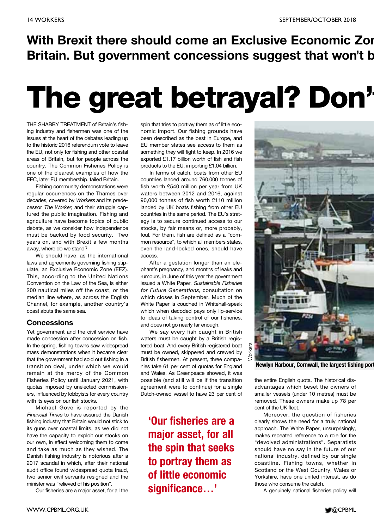## **With Brexit there should come an Exclusive Economic Zon Britain. But government concessions suggest that won't b**

## **The great betrayal? Don't**

THE SHABBY TREATMENT of Britain's fishing industry and fishermen was one of the issues at the heart of the debates leading up to the historic 2016 referendum vote to leave the EU, not only for fishing and other coastal areas of Britain, but for people across the country. The Common Fisheries Policy is one of the clearest examples of how the EEC, later EU membership, failed Britain.

Fishing community demonstrations were regular occurrences on the Thames over decades, covered by Workers and its predecessor The Worker, and their struggle captured the public imagination. Fishing and agriculture have become topics of public debate, as we consider how independence must be backed by food security. Two years on, and with Brexit a few months away, where do we stand?

We should have, as the international laws and agreements governing fishing stipulate, an Exclusive Economic Zone (EEZ). This, according to the United Nations Convention on the Law of the Sea, is either 200 nautical miles off the coast, or the median line where, as across the English Channel, for example, another country's coast abuts the same sea.

#### **Concessions**

Yet government and the civil service have made concession after concession on fish. In the spring, fishing towns saw widespread mass demonstrations when it became clear that the government had sold out fishing in a transition deal, under which we would remain at the mercy of the Common Fisheries Policy until January 2021, with quotas imposed by unelected commissioners, influenced by lobbyists for every country with its eyes on our fish stocks.

Michael Gove is reported by the Financial Times to have assured the Danish fishing industry that Britain would not stick to its guns over coastal limits, as we did not have the capacity to exploit our stocks on our own, in effect welcoming them to come and take as much as they wished. The Danish fishing industry is notorious after a 2017 scandal in which, after their national audit office found widespread quota fraud, two senior civil servants resigned and the minister was "relieved of his position".

Our fisheries are a major asset, for all the

spin that tries to portray them as of little economic import. Our fishing grounds have been described as the best in Europe, and EU member states see access to them as something they will fight to keep. In 2016 we exported £1.17 billion worth of fish and fish products to the EU, importing £1.04 billion.

In terms of catch, boats from other EU countries landed around 760,000 tonnes of fish worth £540 million per year from UK waters between 2012 and 2016, against 90,000 tonnes of fish worth £110 million landed by UK boats fishing from other EU countries in the same period. The EU's strategy is to secure continued access to our stocks, by fair means or, more probably, foul. For them, fish are defined as a "common resource", to which all members states, even the land-locked ones, should have access.

After a gestation longer than an elephant's pregnancy, and months of leaks and rumours, in June of this year the government issued a White Paper, Sustainable Fisheries for Future Generations, consultation on which closes in September. Much of the White Paper is couched in Whitehall-speak which when decoded pays only lip-service to ideas of taking control of our fisheries, and does not go nearly far enough.

We say every fish caught in British waters must be caught by a British registered boat. And every British registered boat must be owned, skippered and crewed by British fishermen. At present, three companies take 61 per cent of quotas for England and Wales. As Greenpeace showed, it was possible (and still will be if the transition agreement were to continue) for a single Dutch-owned vessel to have 23 per cent of

**'Our fisheries are a major asset, for all the spin that seeks to portray them as of little economic significance…'**

![](_page_13_Picture_16.jpeg)

**Newlyn Harbour, Cornwall, the largest fishing por** 

the entire English quota. The historical disadvantages which beset the owners of smaller vessels (under 10 metres) must be removed. These owners make up 78 per cent of the UK fleet.

Moreover, the question of fisheries clearly shows the need for a truly national approach. The White Paper, unsurprisingly, makes repeated reference to a role for the "devolved administrations". Separatists should have no say in the future of our national industry, defined by our single coastline. Fishing towns, whether in Scotland or the West Country, Wales or Yorkshire, have one united interest, as do those who consume the catch.

A genuinely national fisheries policy will

![](_page_13_Picture_22.jpeg)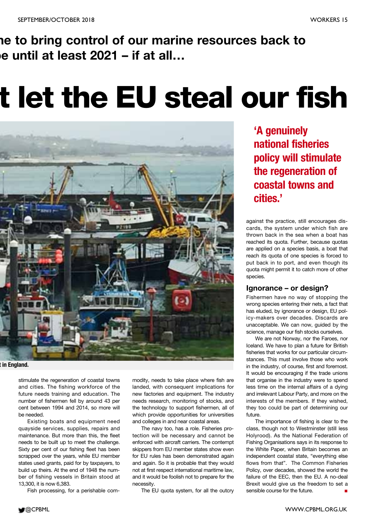**ne to bring control of our marine resources back to be until at least 2021 – if at all…**

## **t let the EU steal our fish**

![](_page_14_Picture_4.jpeg)

#### **t in England.**

stimulate the regeneration of coastal towns and cities. The fishing workforce of the future needs training and education. The number of fishermen fell by around 43 per cent between 1994 and 2014, so more will be needed.

Existing boats and equipment need quayside services, supplies, repairs and maintenance. But more than this, the fleet needs to be built up to meet the challenge. Sixty per cent of our fishing fleet has been scrapped over the years, while EU member states used grants, paid for by taxpayers, to build up theirs. At the end of 1948 the number of fishing vessels in Britain stood at 13,300, it is now 6,383.

Fish processing, for a perishable com-

modity, needs to take place where fish are landed, with consequent implications for new factories and equipment. The industry needs research, monitoring of stocks, and the technology to support fishermen, all of which provide opportunities for universities and colleges in and near coastal areas.

The navy too, has a role. Fisheries protection will be necessary and cannot be enforced with aircraft carriers. The contempt skippers from EU member states show even for EU rules has been demonstrated again and again. So it is probable that they would not at first respect international maritime law, and it would be foolish not to prepare for the necessity.

The EU quota system, for all the outcry

**'A genuinely national fisheries policy will stimulate the regeneration of coastal towns and cities.'**

against the practice, still encourages discards, the system under which fish are thrown back in the sea when a boat has reached its quota. Further, because quotas are applied on a species basis, a boat that reach its quota of one species is forced to put back in to port, and even though its quota might permit it to catch more of other species.

#### **Ignorance – or design?**

Fishermen have no way of stopping the wrong species entering their nets, a fact that has eluded, by ignorance or design, EU policy-makers over decades. Discards are unacceptable. We can now, guided by the science, manage our fish stocks ourselves.

We are not Norway, nor the Faroes, nor Iceland. We have to plan a future for British fisheries that works for our particular circumstances. This must involve those who work in the industry, of course, first and foremost. It would be encouraging if the trade unions that organise in the industry were to spend less time on the internal affairs of a dying and irrelevant Labour Party, and more on the interests of the members. If they wished, they too could be part of determining our future.

The importance of fishing is clear to the class, though not to Westminster (still less Holyrood). As the National Federation of Fishing Organisations says in its response to the White Paper, when Britain becomes an independent coastal state, "everything else flows from that". The Common Fisheries Policy, over decades, showed the world the failure of the EEC, then the EU. A no-deal Brexit would give us the freedom to set a sensible course for the future.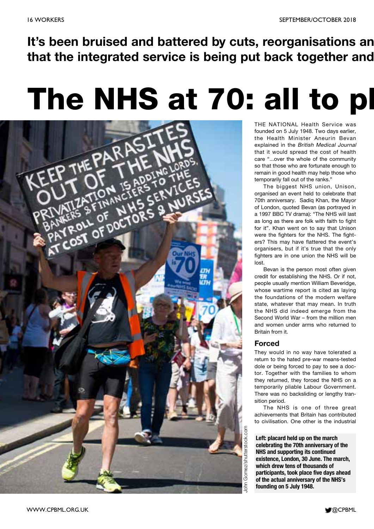**It's been bruised and battered by cuts, reorganisations an that the integrated service is being put back together and**

## **The NHS at 70: all to pl**

![](_page_15_Picture_4.jpeg)

THE NATIONAL Health Service was founded on 5 July 1948. Two days earlier, the Health Minister Aneurin Bevan explained in the British Medical Journal that it would spread the cost of health care "...over the whole of the community so that those who are fortunate enough to remain in good health may help those who temporarily fall out of the ranks."

The biggest NHS union, Unison, organised an event held to celebrate that 70th anniversary. Sadiq Khan, the Mayor of London, quoted Bevan (as portrayed in a 1997 BBC TV drama): "The NHS will last as long as there are folk with faith to fight for it". Khan went on to say that Unison were the fighters for the NHS. The fighters? This may have flattered the event's organisers, but if it's true that the only fighters are in one union the NHS will be lost.

Bevan is the person most often given credit for establishing the NHS. Or if not, people usually mention William Beveridge, whose wartime report is cited as laying the foundations of the modern welfare state, whatever that may mean. In truth the NHS did indeed emerge from the Second World War – from the million men and women under arms who returned to Britain from it.

#### **Forced**

They would in no way have tolerated a return to the hated pre-war means-tested dole or being forced to pay to see a doctor. Together with the families to whom they returned, they forced the NHS on a temporarily pliable Labour Government. There was no backsliding or lengthy transition period.

The NHS is one of three great achievements that Britain has contributed to civilisation. One other is the industrial

**Left: placard held up on the march celebrating the 70th anniversary of the NHS and supporting its continued existence, London, 30 June. The march, which drew tens of thousands of participants, took place five days ahead of the actual anniversary of the NHS's founding on 5 July 1948.**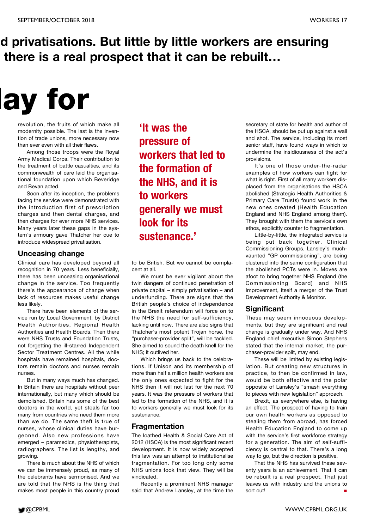### **d privatisations. But little by little workers are ensuring there is a real prospect that it can be rebuilt…**

## **lay for**

revolution, the fruits of which make all modernity possible. The last is the invention of trade unions, more necessary now than ever even with all their flaws.

Among those troops were the Royal Army Medical Corps. Their contribution to the treatment of battle casualties, and its commonwealth of care laid the organisational foundation upon which Beveridge and Bevan acted.

Soon after its inception, the problems facing the service were demonstrated with the introduction first of prescription charges and then dental charges, and then charges for ever more NHS services. Many years later these gaps in the system's armoury gave Thatcher her cue to introduce widespread privatisation.

#### **Unceasing change**

Clinical care has developed beyond all recognition in 70 years. Less beneficially, there has been unceasing organisational change in the service. Too frequently there's the appearance of change when lack of resources makes useful change less likely.

There have been elements of the service run by Local Government, by District Health Authorities, Regional Health Authorities and Health Boards. Then there were NHS Trusts and Foundation Trusts, not forgetting the ill-starred Independent Sector Treatment Centres. All the while hospitals have remained hospitals, doctors remain doctors and nurses remain nurses.

But in many ways much has changed. In Britain there are hospitals without peer internationally, but many which should be demolished. Britain has some of the best doctors in the world, yet steals far too many from countries who need them more than we do. The same theft is true of nurses, whose clinical duties have burgeoned. Also new professions have emerged – paramedics, physiotherapists, radiographers. The list is lengthy, and growing.

There is much about the NHS of which we can be immensely proud, as many of the celebrants have sermonised. And we are told that the NHS is the thing that makes most people in this country proud

**'It was the pressure of workers that led to the formation of the NHS, and it is to workers generally we must look for its sustenance.'**

to be British. But we cannot be complacent at all.

We must be ever vigilant about the twin dangers of continued penetration of private capital – simply privatisation – and underfunding. There are signs that the British people's choice of independence in the Brexit referendum will force on to the NHS the need for self-sufficiency, lacking until now. There are also signs that Thatcher's most potent Trojan horse, the "purchaser-provider split", will be tackled. She aimed to sound the death knell for the NHS; it outlived her.

Which brings us back to the celebrations. If Unison and its membership of more than half a million health workers are the only ones expected to fight for the NHS then it will not last for the next 70 years. It was the pressure of workers that led to the formation of the NHS, and it is to workers generally we must look for its sustenance.

#### **Fragmentation**

The loathed Health & Social Care Act of 2012 (HSCA) is the most significant recent development. It is now widely accepted this law was an attempt to institutionalise fragmentation. For too long only some NHS unions took that view. They will be vindicated.

Recently a prominent NHS manager said that Andrew Lansley, at the time the secretary of state for health and author of the HSCA, should be put up against a wall and shot. The service, including its most senior staff, have found ways in which to undermine the insidiousness of the act's provisions.

It's one of those under-the-radar examples of how workers can fight for what is right. First of all many workers displaced from the organisations the HSCA abolished (Strategic Health Authorities & Primary Care Trusts) found work in the new ones created (Health Education England and NHS England among them). They brought with them the service's own ethos, explicitly counter to fragmentation.

Little-by-little, the integrated service is being put back together. Clinical Commissioning Groups, Lansley's muchvaunted "GP commissioning", are being clustered into the same configuration that the abolished PCTs were in. Moves are afoot to bring together NHS England (the Commissioning Board) and NHS Improvement, itself a merger of the Trust Development Authority & Monitor.

#### **Significant**

These may seem innocuous developments, but they are significant and real change is gradually under way. And NHS England chief executive Simon Stephens stated that the internal market, the purchaser-provider split, may end.

These will be limited by existing legislation. But creating new structures in practice, to then be confirmed in law, would be both effective and the polar opposite of Lansley's "smash everything to pieces with new legislation" approach.

Brexit, as everywhere else, is having an effect. The prospect of having to train our own health workers as opposed to stealing them from abroad, has forced Health Education England to come up with the service's first workforce strategy for a generation. The aim of self-sufficiency is central to that. There's a long way to go, but the direction is positive.

That the NHS has survived these seventy years is an achievement. That it can be rebuilt is a real prospect. That just leaves us with industry and the unions to sort out!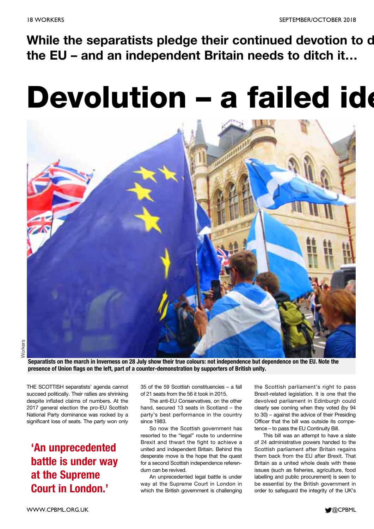## **While the separatists pledge their continued devotion to d the EU – and an independent Britain needs to ditch it…**

## **Devolution – a failed ide**

![](_page_17_Picture_4.jpeg)

**Separatists on the march in Inverness on 28 July show their true colours: not independence but dependence on the EU. Note the presence of Union flags on the left, part of a counter-demonstration by supporters of British unity.**

THE SCOTTISH separatists' agenda cannot succeed politically. Their rallies are shrinking despite inflated claims of numbers. At the 2017 general election the pro-EU Scottish National Party dominance was rocked by a significant loss of seats. The party won only

### **'An unprecedented battle is under way at the Supreme Court in London.'**

35 of the 59 Scottish constituencies – a fall of 21 seats from the 56 it took in 2015.

The anti-EU Conservatives, on the other hand, secured 13 seats in Scotland – the party's best performance in the country since 1983.

So now the Scottish government has resorted to the "legal" route to undermine Brexit and thwart the fight to achieve a united and independent Britain. Behind this desperate move is the hope that the quest for a second Scottish independence referendum can be revived.

An unprecedented legal battle is under way at the Supreme Court in London in which the British government is challenging the Scottish parliament's right to pass Brexit-related legislation. It is one that the devolved parliament in Edinburgh could clearly see coming when they voted (by 94 to 30) – against the advice of their Presiding Officer that the bill was outside its competence – to pass the EU Continuity Bill.

This bill was an attempt to have a slate of 24 administrative powers handed to the Scottish parliament after Britain regains them back from the EU after Brexit. That Britain as a united whole deals with these issues (such as fisheries, agriculture, food labelling and public procurement) is seen to be essential by the British government in order to safeguard the integrity of the UK's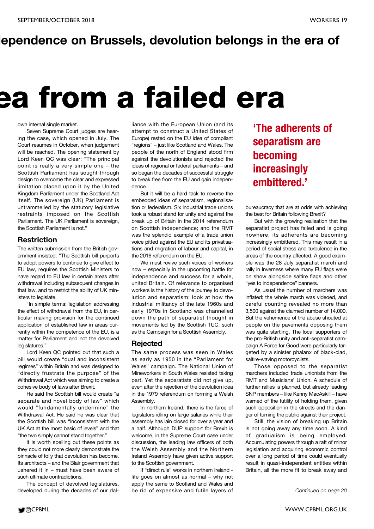### **dependence on Brussels, devolution belongs in the era of**

## **ea from a failed era**

#### own internal single market.

Seven Supreme Court judges are hearing the case, which opened in July. The Court resumes in October, when judgement will be reached. The opening statement by Lord Keen QC was clear: "The principal point is really a very simple one – the Scottish Parliament has sought through design to overcome the clear and expressed limitation placed upon it by the United Kingdom Parliament under the Scotland Act itself. The sovereign (UK) Parliament is untrammelled by the statutory legislative restraints imposed on the Scottish Parliament. The UK Parliament is sovereign, the Scottish Parliament is not."

#### **Restriction**

The written submission from the British government insisted: "The Scottish bill purports to adopt powers to continue to give effect to EU law, requires the Scottish Ministers to have regard to EU law in certain areas after withdrawal including subsequent changes in that law, and to restrict the ability of UK ministers to legislate.

"In simple terms: legislation addressing the effect of withdrawal from the EU, in particular making provision for the continued application of established law in areas currently within the competence of the EU, is a matter for Parliament and not the devolved legislatures."

Lord Keen QC pointed out that such a bill would create "dual and inconsistent regimes" within Britain and was designed to "directly frustrate the purpose" of the Withdrawal Act which was aiming to create a cohesive body of laws after Brexit.

He said the Scottish bill would create "a separate and novel body of law" which would "fundamentally undermine" the Withdrawal Act. He said he was clear that the Scottish bill was "inconsistent with the UK Act at the most basic of levels" and that "the two simply cannot stand together."

It is worth spelling out these points as they could not more clearly demonstrate the pinnacle of folly that devolution has become. Its architects – and the Blair government that ushered it in – must have been aware of such ultimate contradictions.

The concept of devolved legislatures, developed during the decades of our dalliance with the European Union (and its attempt to construct a United States of Europe) rested on the EU idea of compliant "regions" – just like Scotland and Wales. The people of the north of England stood firm against the devolutionists and rejected the ideas of regional or federal parliaments – and so began the decades of successful struggle to break free from the EU and gain independence.

But it will be a hard task to reverse the embedded ideas of separatism, regionalisation or federalism. Six industrial trade unions took a robust stand for unity and against the break up of Britain in the 2014 referendum on Scottish independence; and the RMT was the splendid example of a trade union voice pitted against the EU and its privatisations and migration of labour and capital, in the 2016 referendum on the EU.

We must revive such voices of workers now – especially in the upcoming battle for independence and success for a whole, united Britain. Of relevance to organised workers is the history of the journey to devolution and separatism: look at how the industrial militancy of the late 1960s and early 1970s in Scotland was channelled down the path of separatist thought in movements led by the Scottish TUC, such as the Campaign for a Scottish Assembly.

#### **Rejected**

The same process was seen in Wales as early as 1950 in the "Parliament for Wales" campaign. The National Union of Mineworkers in South Wales resisted taking part. Yet the separatists did not give up, even after the rejection of the devolution idea in the 1979 referendum on forming a Welsh Assembly.

In northern Ireland, there is the farce of legislators idling on large salaries while their assembly has lain closed for over a year and a half. Although DUP support for Brexit is welcome, in the Supreme Court case under discussion, the leading law officers of both the Welsh Assembly and the Northern Ireland Assembly have given active support to the Scottish government.

If "direct rule" works in northern Ireland life goes on almost as normal – why not apply the same to Scotland and Wales and be rid of expensive and futile layers of

### **'The adherents of separatism are becoming increasingly embittered.'**

bureaucracy that are at odds with achieving the best for Britain following Brexit?

But with the growing realisation that the separatist project has failed and is going nowhere, its adherents are becoming increasingly embittered. This may result in a period of social stress and turbulence in the areas of the country affected. A good example was the 28 July separatist march and rally in Inverness where many EU flags were on show alongside saltire flags and other "yes to independence" banners.

As usual the number of marchers was inflated: the whole march was videoed, and careful counting revealed no more than 3,500 against the claimed number of 14,000. But the vehemence of the abuse shouted at people on the pavements opposing them was quite startling. The local supporters of the pro-British unity and anti-separatist campaign A Force for Good were particularly targeted by a sinister phalanx of black-clad, saltire-waving motorcyclists.

Those opposed to the separatist marchers included trade unionists from the RMT and Musicians' Union. A schedule of further rallies is planned, but already leading SNP members – like Kenny MacAskill – have warned of the futility of holding them, given such opposition in the streets and the danger of turning the public against their project.

Still, the vision of breaking up Britain is not going away any time soon. A kind of gradualism is being employed. Accumulating powers through a raft of minor legislation and acquiring economic control over a long period of time could eventually result in quasi-independent entities within Britain, all the more fit to break away and

*Continued on page 20*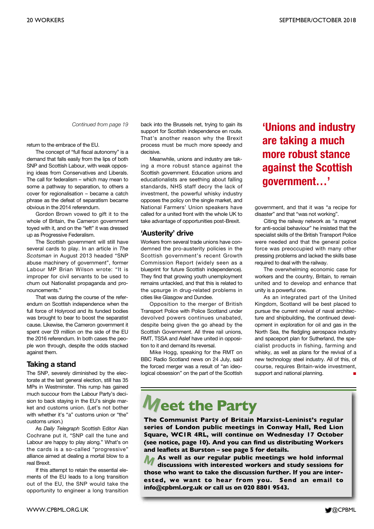*Continued from page 19*

return to the embrace of the EU.

The concept of "full fiscal autonomy" is a demand that falls easily from the lips of both SNP and Scottish Labour, with weak opposing ideas from Conservatives and Liberals. The call for federalism – which may mean to some a pathway to separation, to others a cover for regionalisation – became a catch phrase as the defeat of separatism became obvious in the 2014 referendum.

Gordon Brown vowed to gift it to the whole of Britain, the Cameron government toyed with it, and on the "left" it was dressed up as Progressive Federalism.

The Scottish government will still have several cards to play. In an article in *The Scotsman* in August 2013 headed "SNP abuse machinery of government", former Labour MP Brian Wilson wrote: "It is improper for civil servants to be used to churn out Nationalist propaganda and pronouncements."

That was during the course of the referendum on Scottish independence when the full force of Holyrood and its funded bodies was brought to bear to boost the separatist cause. Likewise, the Cameron government it spent over £9 million on the side of the EU the 2016 referendum. In both cases the people won through, despite the odds stacked against them.

#### **Taking a stand**

The SNP, severely diminished by the electorate at the last general election, still has 35 MPs in Westminster. This rump has gained much succour from the Labour Party's decision to back staying in the EU's single market and customs union. (Let's not bother with whether it's "a" customs union or "the" customs union.)

As *Daily Telegraph* Scottish Editor Alan Cochrane put it, "SNP call the tune and Labour are happy to play along." What's on the cards is a so-called "progressive" alliance aimed at dealing a mortal blow to a real Brexit.

If this attempt to retain the essential elements of the EU leads to a long transition out of the EU, the SNP would take the opportunity to engineer a long transition

back into the Brussels net, trying to gain its support for Scottish independence en route. That's another reason why the Brexit process must be much more speedy and decisive.

Meanwhile, unions and industry are taking a more robust stance against the Scottish government. Education unions and educationalists are seething about falling standards, NHS staff decry the lack of investment, the powerful whisky industry opposes the policy on the single market, and National Farmers' Union speakers have called for a united front with the whole UK to take advantage of opportunities post-Brexit.

#### **'Austerity' drive**

Workers from several trade unions have condemned the pro-austerity policies in the Scottish government's recent Growth Commission Report (widely seen as a blueprint for future Scottish independence). They find that growing youth unemployment remains untackled, and that this is related to the upsurge in drug-related problems in cities like Glasgow and Dundee.

Opposition to the merger of British Transport Police with Police Scotland under devolved powers continues unabated, despite being given the go ahead by the Scottish Government. All three rail unions, RMT, TSSA and Aslef have united in opposition to it and demand its reversal.

Mike Hogg, speaking for the RMT on BBC Radio Scotland news on 24 July, said the forced merger was a result of "an ideological obsession" on the part of the Scottish **'Unions and industry are taking a much more robust stance against the Scottish government…'**

government, and that it was "a recipe for disaster" and that "was not working".

Citing the railway network as "a magnet for anti-social behaviour" he insisted that the specialist skills of the British Transport Police were needed and that the general police force was preoccupied with many other pressing problems and lacked the skills base required to deal with the railway.

The overwhelming economic case for workers and the country, Britain, to remain united and to develop and enhance that unity is a powerful one.

As an integrated part of the United Kingdom, Scotland will be best placed to pursue the current revival of naval architecture and shipbuilding, the continued development in exploration for oil and gas in the North Sea, the fledgling aerospace industry and spaceport plan for Sutherland, the specialist products in fishing, farming and whisky, as well as plans for the revival of a new technology steel industry. All of this, of course, requires Britain-wide investment, support and national planning.

## **Meet the Party**

**The Communist Party of Britain Marxist-Leninist's regular series of London public meetings in Conway Hall, Red Lion Square, WC1R 4RL, will continue on Wednesday 17 October (see notice, page 10). And you can find us distributing Workers and leaflets at Burston – see page 5 for details.**

**As well as our regular public meetings we hold informal discussions with interested workers and study sessions for those who want to take the discussion further. If you are interested, we want to hear from you. Send an email to info@cpbml.org.uk or call us on 020 8801 9543. M**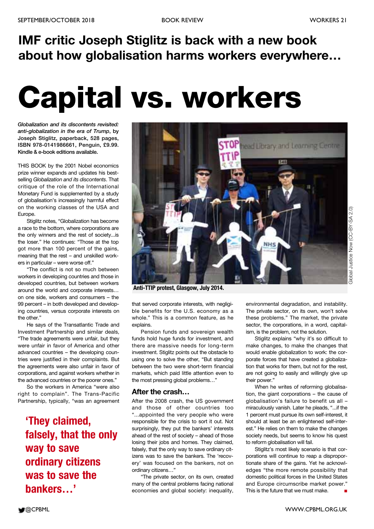## **IMF critic Joseph Stiglitz is back with a new book about how globalisation harms workers everywhere…**

## **Capital vs. workers**

*Globalization and its discontents revisited: anti-globalization in the era of Trump***, by Joseph Stiglitz, paperback, 528 pages, ISBN 978-0141986661, Penguin, £9.99. Kindle & e-book editions available.**

THIS BOOK by the 2001 Nobel economics prize winner expands and updates his bestselling *Globalization and its discontents*. That critique of the role of the International Monetary Fund is supplemented by a study of globalisation's increasingly harmful effect on the working classes of the USA and Europe.

Stiglitz notes, "Globalization has become a race to the bottom, where corporations are the only winners and the rest of society...is the loser." He continues: "Those at the top got more than 100 percent of the gains, meaning that the rest – and unskilled workers in particular – were worse off."

"The conflict is not so much between workers in developing countries and those in developed countries, but between workers around the world and corporate interests… on one side, workers and consumers – the 99 percent – in both developed and developing countries, versus corporate interests on the other."

He says of the Transatlantic Trade and Investment Partnership and similar deals, "The trade agreements were unfair, but they were unfair in favor of America and other advanced countries – the developing countries were justified in their complaints. But the agreements were also unfair in favor of corporations, and against workers whether in the advanced countries or the poorer ones."

So the workers in America "were also right to complain". The Trans-Pacific Partnership, typically, "was an agreement

**'They claimed, falsely, that the only way to save ordinary citizens was to save the bankers…'**

![](_page_20_Picture_12.jpeg)

**Anti-TTIP protest, Glasgow, July 2014.**

that served corporate interests, with negligible benefits for the U.S. economy as a whole." This is a common feature, as he explains.

Pension funds and sovereign wealth funds hold huge funds for investment, and there are massive needs for long-term investment. Stiglitz points out the obstacle to using one to solve the other, "But standing between the two were short-term financial markets, which paid little attention even to the most pressing global problems…"

#### **After the crash…**

After the 2008 crash, the US government and those of other countries too "...appointed the very people who were responsible for the crisis to sort it out. Not surprisingly, they put the bankers' interests ahead of the rest of society – ahead of those losing their jobs and homes. They claimed, falsely, that the only way to save ordinary citizens was to save the bankers. The 'recovery' was focused on the bankers, not on ordinary citizens…"

"The private sector, on its own, created many of the central problems facing national economies and global society: inequality, environmental degradation, and instability. The private sector, on its own, won't solve these problems." The market, the private sector, the corporations, in a word, capitalism, is the problem, not the solution.

Stiglitz explains "why it's so difficult to make changes, to make the changes that would enable globalization to work: the corporate forces that have created a globalization that works for them, but not for the rest, are not going to easily and willingly give up their power."

When he writes of reforming globalisation, the giant corporations – the cause of globalisation's failure to benefit us all – miraculously vanish. Later he pleads, "...if the 1 percent must pursue its own self-interest, it should at least be an enlightened self-interest." He relies on them to make the changes society needs, but seems to know his quest to reform globalisation will fail.

Stiglitz's most likely scenario is that corporations will continue to reap a disproportionate share of the gains. Yet he acknowledges "the more remote possibility that domestic political forces in the United States and Europe circumscribe market power." This is the future that we must make. **■**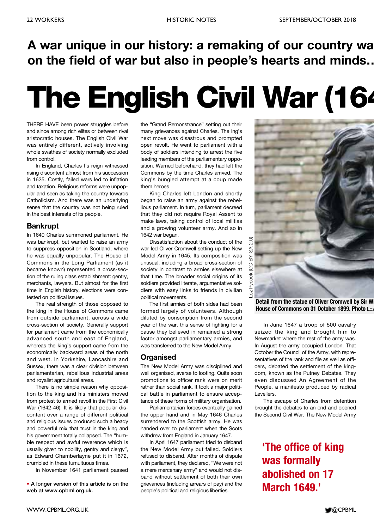## **A war unique in our history: a remaking of our country wa on the field of war but also in people's hearts and minds…**

## **The English Civil War (164**

THERE HAVE been power struggles before and since among rich elites or between rival aristocratic houses. The English Civil War was entirely different, actively involving whole swathes of society normally excluded from control.

In England, Charles I's reign witnessed rising discontent almost from his succession in 1625. Costly, failed wars led to inflation and taxation. Religious reforms were unpopular and seen as taking the country towards Catholicism. And there was an underlying sense that the country was not being ruled in the best interests of its people.

#### **Bankrupt**

In 1640 Charles summoned parliament. He was bankrupt, but wanted to raise an army to suppress opposition in Scotland, where he was equally unpopular. The House of Commons in the Long Parliament (as it became known) represented a cross-section of the ruling class establishment: gentry, merchants, lawyers. But almost for the first time in English history, elections were contested on political issues.

The real strength of those opposed to the king in the House of Commons came from outside parliament, across a wide cross-section of society. Generally support for parliament came from the economically advanced south and east of England, whereas the king's support came from the economically backward areas of the north and west. In Yorkshire, Lancashire and Sussex, there was a clear division between parliamentarian, rebellious industrial areas and royalist agricultural areas.

There is no simple reason why opposition to the king and his ministers moved from protest to armed revolt in the First Civil War (1642-46). It is likely that popular discontent over a range of different political and religious issues produced such a heady and powerful mix that trust in the king and his government totally collapsed. The "humble respect and awful reverence which is usually given to nobility, gentry and clergy", as Edward Chamberlayne put it in 1672, crumbled in these tumultuous times.

In November 1641 parliament passed

the "Grand Remonstrance" setting out their many grievances against Charles. The ing's next move was disastrous and prompted open revolt. He went to parliament with a body of soldiers intending to arrest the five leading members of the parliamentary opposition. Warned beforehand, they had left the Commons by the time Charles arrived. The king's bungled attempt at a coup made them heroes.

King Charles left London and shortly began to raise an army against the rebellious parliament. In turn, parliament decreed that they did not require Royal Assent to make laws, taking control of local militias and a growing volunteer army. And so in 1642 war began.

Dissatisfaction about the conduct of the war led Oliver Cromwell setting up the New Model Army in 1645. Its composition was unusual, including a broad cross-section of society in contrast to armies elsewhere at that time. The broader social origins of its soldiers provided literate, argumentative soldiers with easy links to friends in civilian political movements.

The first armies of both sides had been formed largely of volunteers. Although diluted by conscription from the second year of the war, this sense of fighting for a cause they believed in remained a strong factor amongst parliamentary armies, and was transferred to the New Model Army.

#### **Organised**

The New Model Army was disciplined and well organised, averse to looting. Quite soon promotions to officer rank were on merit rather than social rank. It took a major political battle in parliament to ensure acceptance of these forms of military organisation.

Parliamentarian forces eventually gained the upper hand and in May 1646 Charles surrendered to the Scottish army. He was handed over to parliament when the Scots withdrew from England in January 1647.

In April 1647 parliament tried to disband the New Model Army but failed. Soldiers refused to disband. After months of dispute with parliament, they declared, "We were not a mere mercenary army" and would not disband without settlement of both their own grievances (including arrears of pay) and the people's political and religious liberties.

![](_page_21_Picture_21.jpeg)

**Detail from the statue of Oliver Cromwell by Sir Wi House of Commons on 31 October 1899. Photo** Loz

In June 1647 a troop of 500 cavalry seized the king and brought him to Newmarket where the rest of the army was. In August the army occupied London. That October the Council of the Army, with representatives of the rank and file as well as officers, debated the settlement of the kingdom, known as the Putney Debates. They even discussed An Agreement of the People, a manifesto produced by radical Levellers.

The escape of Charles from detention brought the debates to an end and opened the Second Civil War. The New Model Army

### **'The office of king was formally abolished on 17 March 1649.'**

**<sup>•</sup> A longer version of this article is on the web at www.cpbml.org.uk.**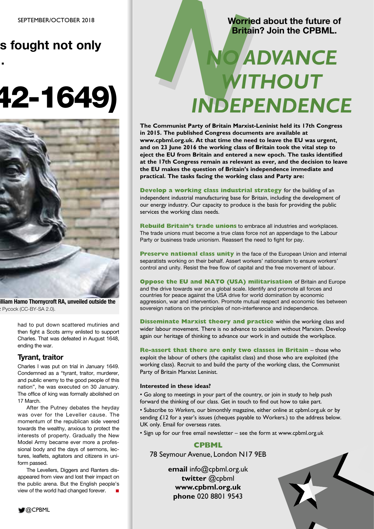## **s fought not only**

**…**

## **42-1649)**

![](_page_22_Picture_3.jpeg)

**illiam Hamo Thornycroft RA, unveiled outside the** z Pycock (CC-BY-SA 2.0).

> had to put down scattered mutinies and then fight a Scots army enlisted to support Charles. That was defeated in August 1648, ending the war.

#### **Tyrant, traitor**

Charles I was put on trial in January 1649. Condemned as a "tyrant, traitor, murderer, and public enemy to the good people of this nation", he was executed on 30 January. The office of king was formally abolished on 17 March.

After the Putney debates the heyday was over for the Leveller cause. The momentum of the republican side veered towards the wealthy, anxious to protect the interests of property. Gradually the New Model Army became ever more a professional body and the days of sermons, lectures, leaflets, agitators and citizens in uniform passed.

The Levellers, Diggers and Ranters disappeared from view and lost their impact on the public arena. But the English people's view of the world had changed forever. **■**

#### **Worried about the future of Britain? Join the CPBML.**

## Worried about the future of<br>Britain? Join the CPBML. *WITHOUT INDEPENDENCE*

**The Communist Party of Britain Marxist-Leninist held its 17th Congress in 2015. The published Congress documents are available at www.cpbml.org.uk. At that time the need to leave the EU was urgent, and on 23 June 2016 the working class of Britain took the vital step to eject the EU from Britain and entered a new epoch. The tasks identified at the 17th Congress remain as relevant as ever, and the decision to leave the EU makes the question of Britain's independence immediate and practical. The tasks facing the working class and Party are:**

**Develop a working class industrial strategy** for the building of an independent industrial manufacturing base for Britain, including the development of our energy industry. Our capacity to produce is the basis for providing the public services the working class needs.

**Rebuild Britain's trade unions** to embrace all industries and workplaces. The trade unions must become a true class force not an appendage to the Labour Party or business trade unionism. Reassert the need to fight for pay.

**Preserve national class unity** in the face of the European Union and internal separatists working on their behalf. Assert workers' nationalism to ensure workers' control and unity. Resist the free flow of capital and the free movement of labour.

**Oppose the EU and NATO (USA) militarisation** of Britain and Europe and the drive towards war on a global scale. Identify and promote all forces and countries for peace against the USA drive for world domination by economic aggression, war and intervention. Promote mutual respect and economic ties between sovereign nations on the principles of non-interference and independence.

**Disseminate Marxist theory and practice** within the working class and wider labour movement. There is no advance to socialism without Marxism. Develop again our heritage of thinking to advance our work in and outside the workplace.

**Re-assert that there are only two classes in Britain** – those who exploit the labour of others (the capitalist class) and those who are exploited (the working class). Recruit to and build the party of the working class, the Communist Party of Britain Marxist Leninist.

#### **Interested in these ideas?**

• Go along to meetings in your part of the country, or join in study to help push forward the thinking of our class. Get in touch to find out how to take part.

• Subscribe to *Workers*, our bimonthly magazine, either online at cpbml.org.uk or by sending £12 for a year's issues (cheques payable to Workers.) to the address below. UK only. Email for overseas rates.

• Sign up for our free email newsletter – see the form at www.cpbml.org.uk

#### **CPBML**

78 Seymour Avenue, London N17 9EB

**email** info@cpbml.org.uk **twitter** @cpbml **www.cpbml.org.uk phone** 020 8801 9543

![](_page_22_Picture_26.jpeg)